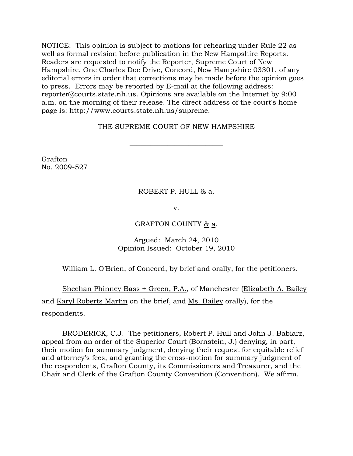NOTICE: This opinion is subject to motions for rehearing under Rule 22 as well as formal revision before publication in the New Hampshire Reports. Readers are requested to notify the Reporter, Supreme Court of New Hampshire, One Charles Doe Drive, Concord, New Hampshire 03301, of any editorial errors in order that corrections may be made before the opinion goes to press. Errors may be reported by E-mail at the following address: reporter@courts.state.nh.us. Opinions are available on the Internet by 9:00 a.m. on the morning of their release. The direct address of the court's home page is: http://www.courts.state.nh.us/supreme.

### THE SUPREME COURT OF NEW HAMPSHIRE

\_\_\_\_\_\_\_\_\_\_\_\_\_\_\_\_\_\_\_\_\_\_\_\_\_\_\_

Grafton No. 2009-527

# ROBERT P. HULL & a.

v.

### GRAFTON COUNTY  $\underline{8}$  a.

# Argued: March 24, 2010 Opinion Issued: October 19, 2010

# William L. O'Brien, of Concord, by brief and orally, for the petitioners.

 Sheehan Phinney Bass + Green, P.A., of Manchester (Elizabeth A. Bailey and Karyl Roberts Martin on the brief, and Ms. Bailey orally), for the respondents.

 BRODERICK, C.J. The petitioners, Robert P. Hull and John J. Babiarz, appeal from an order of the Superior Court (Bornstein, J.) denying, in part, their motion for summary judgment, denying their request for equitable relief and attorney's fees, and granting the cross-motion for summary judgment of the respondents, Grafton County, its Commissioners and Treasurer, and the Chair and Clerk of the Grafton County Convention (Convention). We affirm.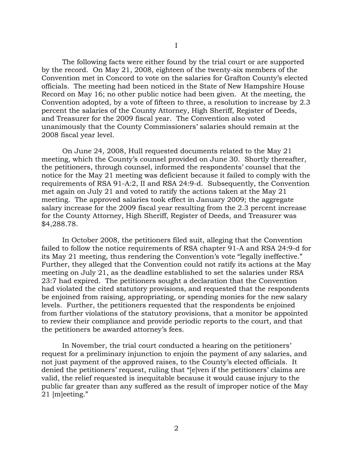The following facts were either found by the trial court or are supported by the record. On May 21, 2008, eighteen of the twenty-six members of the Convention met in Concord to vote on the salaries for Grafton County's elected officials. The meeting had been noticed in the State of New Hampshire House Record on May 16; no other public notice had been given. At the meeting, the Convention adopted, by a vote of fifteen to three, a resolution to increase by 2.3 percent the salaries of the County Attorney, High Sheriff, Register of Deeds, and Treasurer for the 2009 fiscal year. The Convention also voted unanimously that the County Commissioners' salaries should remain at the 2008 fiscal year level.

 On June 24, 2008, Hull requested documents related to the May 21 meeting, which the County's counsel provided on June 30. Shortly thereafter, the petitioners, through counsel, informed the respondents' counsel that the notice for the May 21 meeting was deficient because it failed to comply with the requirements of RSA 91-A:2, II and RSA 24:9-d. Subsequently, the Convention met again on July 21 and voted to ratify the actions taken at the May 21 meeting. The approved salaries took effect in January 2009; the aggregate salary increase for the 2009 fiscal year resulting from the 2.3 percent increase for the County Attorney, High Sheriff, Register of Deeds, and Treasurer was \$4,288.78.

 In October 2008, the petitioners filed suit, alleging that the Convention failed to follow the notice requirements of RSA chapter 91-A and RSA 24:9-d for its May 21 meeting, thus rendering the Convention's vote "legally ineffective." Further, they alleged that the Convention could not ratify its actions at the May meeting on July 21, as the deadline established to set the salaries under RSA 23:7 had expired. The petitioners sought a declaration that the Convention had violated the cited statutory provisions, and requested that the respondents be enjoined from raising, appropriating, or spending monies for the new salary levels. Further, the petitioners requested that the respondents be enjoined from further violations of the statutory provisions, that a monitor be appointed to review their compliance and provide periodic reports to the court, and that the petitioners be awarded attorney's fees.

 In November, the trial court conducted a hearing on the petitioners' request for a preliminary injunction to enjoin the payment of any salaries, and not just payment of the approved raises, to the County's elected officials. It denied the petitioners' request, ruling that "[e]ven if the petitioners' claims are valid, the relief requested is inequitable because it would cause injury to the public far greater than any suffered as the result of improper notice of the May 21 [m]eeting."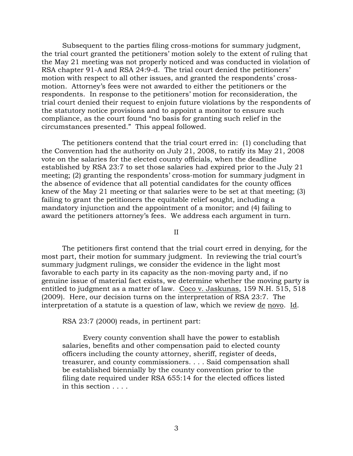Subsequent to the parties filing cross-motions for summary judgment, the trial court granted the petitioners' motion solely to the extent of ruling that the May 21 meeting was not properly noticed and was conducted in violation of RSA chapter 91-A and RSA 24:9-d. The trial court denied the petitioners' motion with respect to all other issues, and granted the respondents' crossmotion. Attorney's fees were not awarded to either the petitioners or the respondents. In response to the petitioners' motion for reconsideration, the trial court denied their request to enjoin future violations by the respondents of the statutory notice provisions and to appoint a monitor to ensure such compliance, as the court found "no basis for granting such relief in the circumstances presented." This appeal followed.

 The petitioners contend that the trial court erred in: (1) concluding that the Convention had the authority on July 21, 2008, to ratify its May 21, 2008 vote on the salaries for the elected county officials, when the deadline established by RSA 23:7 to set those salaries had expired prior to the July 21 meeting; (2) granting the respondents' cross-motion for summary judgment in the absence of evidence that all potential candidates for the county offices knew of the May 21 meeting or that salaries were to be set at that meeting; (3) failing to grant the petitioners the equitable relief sought, including a mandatory injunction and the appointment of a monitor; and (4) failing to award the petitioners attorney's fees. We address each argument in turn.

II

 The petitioners first contend that the trial court erred in denying, for the most part, their motion for summary judgment. In reviewing the trial court's summary judgment rulings, we consider the evidence in the light most favorable to each party in its capacity as the non-moving party and, if no genuine issue of material fact exists, we determine whether the moving party is entitled to judgment as a matter of law. Coco v. Jaskunas, 159 N.H. 515, 518 (2009). Here, our decision turns on the interpretation of RSA 23:7. The interpretation of a statute is a question of law, which we review de novo. Id.

RSA 23:7 (2000) reads, in pertinent part:

 Every county convention shall have the power to establish salaries, benefits and other compensation paid to elected county officers including the county attorney, sheriff, register of deeds, treasurer, and county commissioners. . . . Said compensation shall be established biennially by the county convention prior to the filing date required under RSA 655:14 for the elected offices listed in this section . . . .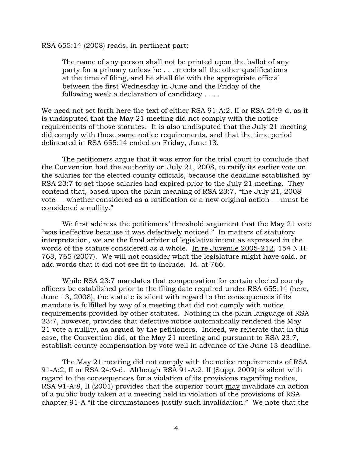RSA 655:14 (2008) reads, in pertinent part:

The name of any person shall not be printed upon the ballot of any party for a primary unless he . . . meets all the other qualifications at the time of filing, and he shall file with the appropriate official between the first Wednesday in June and the Friday of the following week a declaration of candidacy . . . .

We need not set forth here the text of either RSA 91-A:2, II or RSA 24:9-d, as it is undisputed that the May 21 meeting did not comply with the notice requirements of those statutes. It is also undisputed that the July 21 meeting did comply with those same notice requirements, and that the time period delineated in RSA 655:14 ended on Friday, June 13.

 The petitioners argue that it was error for the trial court to conclude that the Convention had the authority on July 21, 2008, to ratify its earlier vote on the salaries for the elected county officials, because the deadline established by RSA 23:7 to set those salaries had expired prior to the July 21 meeting. They contend that, based upon the plain meaning of RSA 23:7, "the July 21, 2008 vote — whether considered as a ratification or a new original action — must be considered a nullity."

We first address the petitioners' threshold argument that the May 21 vote "was ineffective because it was defectively noticed." In matters of statutory interpretation, we are the final arbiter of legislative intent as expressed in the words of the statute considered as a whole. In re Juvenile 2005-212, 154 N.H. 763, 765 (2007). We will not consider what the legislature might have said, or add words that it did not see fit to include. Id. at 766.

While RSA 23:7 mandates that compensation for certain elected county officers be established prior to the filing date required under RSA 655:14 (here, June 13, 2008), the statute is silent with regard to the consequences if its mandate is fulfilled by way of a meeting that did not comply with notice requirements provided by other statutes. Nothing in the plain language of RSA 23:7, however, provides that defective notice automatically rendered the May 21 vote a nullity, as argued by the petitioners. Indeed, we reiterate that in this case, the Convention did, at the May 21 meeting and pursuant to RSA 23:7, establish county compensation by vote well in advance of the June 13 deadline.

The May 21 meeting did not comply with the notice requirements of RSA 91-A:2, II or RSA 24:9-d. Although RSA 91-A:2, II (Supp. 2009) is silent with regard to the consequences for a violation of its provisions regarding notice, RSA 91-A:8, II (2001) provides that the superior court may invalidate an action of a public body taken at a meeting held in violation of the provisions of RSA chapter 91-A "if the circumstances justify such invalidation." We note that the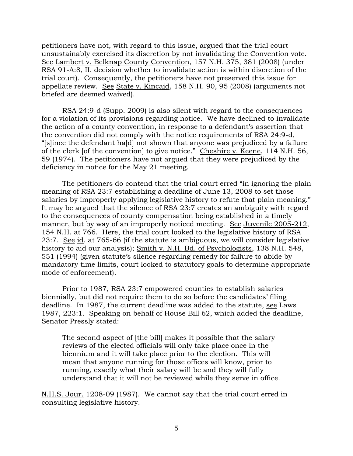petitioners have not, with regard to this issue, argued that the trial court unsustainably exercised its discretion by not invalidating the Convention vote. See Lambert v. Belknap County Convention, 157 N.H. 375, 381 (2008) (under RSA 91-A:8, II, decision whether to invalidate action is within discretion of the trial court). Consequently, the petitioners have not preserved this issue for appellate review. See State v. Kincaid, 158 N.H. 90, 95 (2008) (arguments not briefed are deemed waived).

RSA 24:9-d (Supp. 2009) is also silent with regard to the consequences for a violation of its provisions regarding notice. We have declined to invalidate the action of a county convention, in response to a defendant's assertion that the convention did not comply with the notice requirements of RSA 24:9-d, "[s]ince the defendant ha[d] not shown that anyone was prejudiced by a failure of the clerk [of the convention] to give notice." Cheshire v. Keene, 114 N.H. 56, 59 (1974). The petitioners have not argued that they were prejudiced by the deficiency in notice for the May 21 meeting.

The petitioners do contend that the trial court erred "in ignoring the plain meaning of RSA 23:7 establishing a deadline of June 13, 2008 to set those salaries by improperly applying legislative history to refute that plain meaning." It may be argued that the silence of RSA 23:7 creates an ambiguity with regard to the consequences of county compensation being established in a timely manner, but by way of an improperly noticed meeting. See Juvenile 2005-212, 154 N.H. at 766. Here, the trial court looked to the legislative history of RSA 23:7. See id. at 765-66 (if the statute is ambiguous, we will consider legislative history to aid our analysis); Smith v. N.H. Bd. of Psychologists, 138 N.H. 548, 551 (1994) (given statute's silence regarding remedy for failure to abide by mandatory time limits, court looked to statutory goals to determine appropriate mode of enforcement).

 Prior to 1987, RSA 23:7 empowered counties to establish salaries biennially, but did not require them to do so before the candidates' filing deadline. In 1987, the current deadline was added to the statute, see Laws 1987, 223:1. Speaking on behalf of House Bill 62, which added the deadline, Senator Pressly stated:

The second aspect of [the bill] makes it possible that the salary reviews of the elected officials will only take place once in the biennium and it will take place prior to the election. This will mean that anyone running for those offices will know, prior to running, exactly what their salary will be and they will fully understand that it will not be reviewed while they serve in office.

N.H.S. Jour. 1208-09 (1987). We cannot say that the trial court erred in consulting legislative history.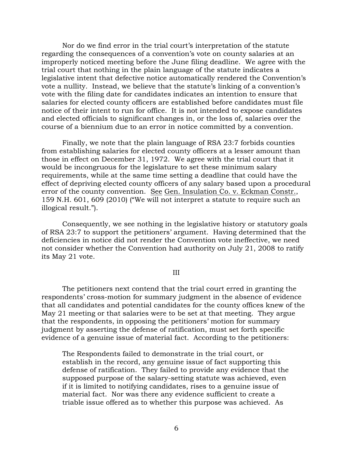Nor do we find error in the trial court's interpretation of the statute regarding the consequences of a convention's vote on county salaries at an improperly noticed meeting before the June filing deadline. We agree with the trial court that nothing in the plain language of the statute indicates a legislative intent that defective notice automatically rendered the Convention's vote a nullity. Instead, we believe that the statute's linking of a convention's vote with the filing date for candidates indicates an intention to ensure that salaries for elected county officers are established before candidates must file notice of their intent to run for office. It is not intended to expose candidates and elected officials to significant changes in, or the loss of, salaries over the course of a biennium due to an error in notice committed by a convention.

Finally, we note that the plain language of RSA 23:7 forbids counties from establishing salaries for elected county officers at a lesser amount than those in effect on December 31, 1972. We agree with the trial court that it would be incongruous for the legislature to set these minimum salary requirements, while at the same time setting a deadline that could have the effect of depriving elected county officers of any salary based upon a procedural error of the county convention. See Gen. Insulation Co. v. Eckman Constr., 159 N.H. 601, 609 (2010) ("We will not interpret a statute to require such an illogical result.").

Consequently, we see nothing in the legislative history or statutory goals of RSA 23:7 to support the petitioners' argument. Having determined that the deficiencies in notice did not render the Convention vote ineffective, we need not consider whether the Convention had authority on July 21, 2008 to ratify its May 21 vote.

#### III

The petitioners next contend that the trial court erred in granting the respondents' cross-motion for summary judgment in the absence of evidence that all candidates and potential candidates for the county offices knew of the May 21 meeting or that salaries were to be set at that meeting. They argue that the respondents, in opposing the petitioners' motion for summary judgment by asserting the defense of ratification, must set forth specific evidence of a genuine issue of material fact. According to the petitioners:

The Respondents failed to demonstrate in the trial court, or establish in the record, any genuine issue of fact supporting this defense of ratification. They failed to provide any evidence that the supposed purpose of the salary-setting statute was achieved, even if it is limited to notifying candidates, rises to a genuine issue of material fact. Nor was there any evidence sufficient to create a triable issue offered as to whether this purpose was achieved. As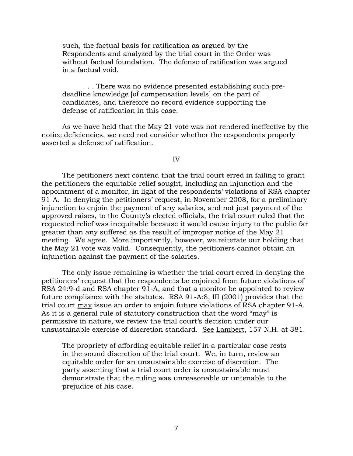such, the factual basis for ratification as argued by the Respondents and analyzed by the trial court in the Order was without factual foundation. The defense of ratification was argued in a factual void.

 . . . There was no evidence presented establishing such predeadline knowledge [of compensation levels] on the part of candidates, and therefore no record evidence supporting the defense of ratification in this case.

 As we have held that the May 21 vote was not rendered ineffective by the notice deficiencies, we need not consider whether the respondents properly asserted a defense of ratification.

IV

 The petitioners next contend that the trial court erred in failing to grant the petitioners the equitable relief sought, including an injunction and the appointment of a monitor, in light of the respondents' violations of RSA chapter 91-A. In denying the petitioners' request, in November 2008, for a preliminary injunction to enjoin the payment of any salaries, and not just payment of the approved raises, to the County's elected officials, the trial court ruled that the requested relief was inequitable because it would cause injury to the public far greater than any suffered as the result of improper notice of the May 21 meeting. We agree. More importantly, however, we reiterate our holding that the May 21 vote was valid. Consequently, the petitioners cannot obtain an injunction against the payment of the salaries.

The only issue remaining is whether the trial court erred in denying the petitioners' request that the respondents be enjoined from future violations of RSA 24:9-d and RSA chapter 91-A, and that a monitor be appointed to review future compliance with the statutes. RSA 91-A:8, III (2001) provides that the trial court may issue an order to enjoin future violations of RSA chapter 91-A. As it is a general rule of statutory construction that the word "may" is permissive in nature, we review the trial court's decision under our unsustainable exercise of discretion standard. See Lambert, 157 N.H. at 381.

The propriety of affording equitable relief in a particular case rests in the sound discretion of the trial court. We, in turn, review an equitable order for an unsustainable exercise of discretion. The party asserting that a trial court order is unsustainable must demonstrate that the ruling was unreasonable or untenable to the prejudice of his case.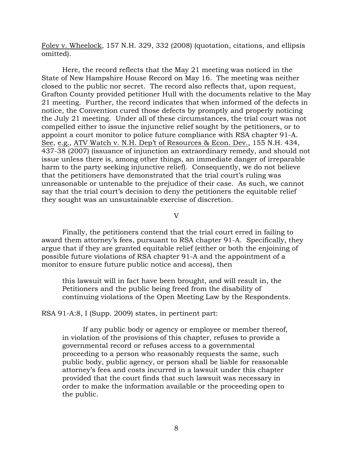Foley v. Wheelock, 157 N.H. 329, 332 (2008) (quotation, citations, and ellipsis omitted).

Here, the record reflects that the May 21 meeting was noticed in the State of New Hampshire House Record on May 16. The meeting was neither closed to the public nor secret. The record also reflects that, upon request, Grafton County provided petitioner Hull with the documents relative to the May 21 meeting. Further, the record indicates that when informed of the defects in notice, the Convention cured those defects by promptly and properly noticing the July 21 meeting. Under all of these circumstances, the trial court was not compelled either to issue the injunctive relief sought by the petitioners, or to appoint a court monitor to police future compliance with RSA chapter 91-A. See, e.g., ATV Watch v. N.H. Dep't of Resources & Econ. Dev., 155 N.H. 434, 437-38 (2007) (issuance of injunction an extraordinary remedy, and should not issue unless there is, among other things, an immediate danger of irreparable harm to the party seeking injunctive relief). Consequently, we do not believe that the petitioners have demonstrated that the trial court's ruling was unreasonable or untenable to the prejudice of their case. As such, we cannot say that the trial court's decision to deny the petitioners the equitable relief they sought was an unsustainable exercise of discretion.

#### V

 Finally, the petitioners contend that the trial court erred in failing to award them attorney's fees, pursuant to RSA chapter 91-A. Specifically, they argue that if they are granted equitable relief (either or both the enjoining of possible future violations of RSA chapter 91-A and the appointment of a monitor to ensure future public notice and access), then

this lawsuit will in fact have been brought, and will result in, the Petitioners and the public being freed from the disability of continuing violations of the Open Meeting Law by the Respondents.

RSA 91-A:8, I (Supp. 2009) states, in pertinent part:

 If any public body or agency or employee or member thereof, in violation of the provisions of this chapter, refuses to provide a governmental record or refuses access to a governmental proceeding to a person who reasonably requests the same, such public body, public agency, or person shall be liable for reasonable attorney's fees and costs incurred in a lawsuit under this chapter provided that the court finds that such lawsuit was necessary in order to make the information available or the proceeding open to the public.